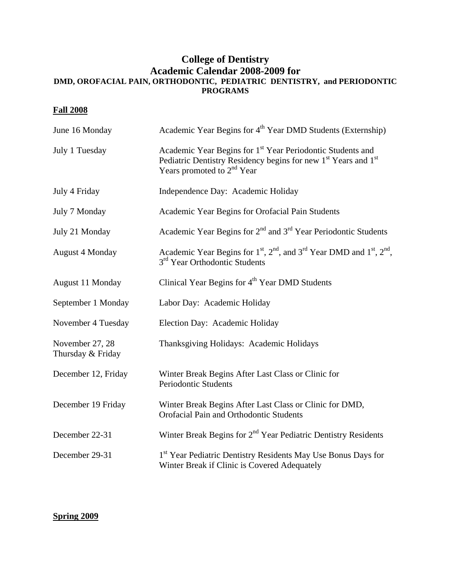## **College of Dentistry Academic Calendar 2008-2009 for DMD, OROFACIAL PAIN, ORTHODONTIC, PEDIATRIC DENTISTRY, and PERIODONTIC PROGRAMS**

## **Fall 2008**

| June 16 Monday                       | Academic Year Begins for 4 <sup>th</sup> Year DMD Students (Externship)                                                                                                                                    |
|--------------------------------------|------------------------------------------------------------------------------------------------------------------------------------------------------------------------------------------------------------|
| July 1 Tuesday                       | Academic Year Begins for 1 <sup>st</sup> Year Periodontic Students and<br>Pediatric Dentistry Residency begins for new 1 <sup>st</sup> Years and 1 <sup>st</sup><br>Years promoted to 2 <sup>nd</sup> Year |
| July 4 Friday                        | Independence Day: Academic Holiday                                                                                                                                                                         |
| July 7 Monday                        | Academic Year Begins for Orofacial Pain Students                                                                                                                                                           |
| July 21 Monday                       | Academic Year Begins for $2nd$ and $3rd$ Year Periodontic Students                                                                                                                                         |
| <b>August 4 Monday</b>               | Academic Year Begins for $1st$ , $2nd$ , and $3rd$ Year DMD and $1st$ , $2nd$ ,<br>3 <sup>rd</sup> Year Orthodontic Students                                                                               |
| August 11 Monday                     | Clinical Year Begins for 4 <sup>th</sup> Year DMD Students                                                                                                                                                 |
| September 1 Monday                   | Labor Day: Academic Holiday                                                                                                                                                                                |
| November 4 Tuesday                   | Election Day: Academic Holiday                                                                                                                                                                             |
| November 27, 28<br>Thursday & Friday | Thanksgiving Holidays: Academic Holidays                                                                                                                                                                   |
| December 12, Friday                  | Winter Break Begins After Last Class or Clinic for<br><b>Periodontic Students</b>                                                                                                                          |
| December 19 Friday                   | Winter Break Begins After Last Class or Clinic for DMD,<br>Orofacial Pain and Orthodontic Students                                                                                                         |
| December 22-31                       | Winter Break Begins for 2 <sup>nd</sup> Year Pediatric Dentistry Residents                                                                                                                                 |
| December 29-31                       | 1 <sup>st</sup> Year Pediatric Dentistry Residents May Use Bonus Days for<br>Winter Break if Clinic is Covered Adequately                                                                                  |

## **Spring 2009**